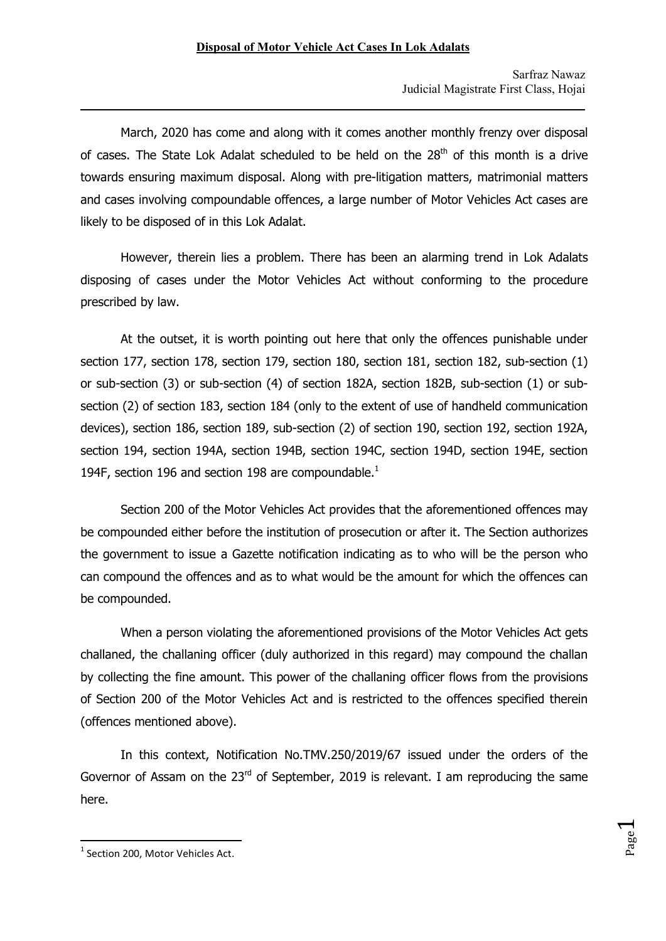March, 2020 has come and along with it comes another monthly frenzy over disposal of cases. The State Lok Adalat scheduled to be held on the  $28<sup>th</sup>$  of this month is a drive towards ensuring maximum disposal. Along with pre-litigation matters, matrimonial matters and cases involving compoundable offences, a large number of Motor Vehicles Act cases are likely to be disposed of in this Lok Adalat.

However, therein lies a problem. There has been an alarming trend in Lok Adalats disposing of cases under the Motor Vehicles Act without conforming to the procedure prescribed by law.

At the outset, it is worth pointing out here that only the offences punishable under section 177, section 178, section 179, section 180, section 181, section 182, sub-section (1) or sub-section (3) or sub-section (4) of section 182A, section 182B, sub-section (1) or subsection (2) of section 183, section 184 (only to the extent of use of handheld communication devices), section 186, section 189, sub-section (2) of section 190, section 192, section 192A, section 194, section 194A, section 194B, section 194C, section 194D, section 194E, section 194F, section 196 and section 198 are compoundable. $<sup>1</sup>$ </sup>

Section 200 of the Motor Vehicles Act provides that the aforementioned offences may be compounded either before the institution of prosecution or after it. The Section authorizes the government to issue a Gazette notification indicating as to who will be the person who can compound the offences and as to what would be the amount for which the offences can be compounded.

When a person violating the aforementioned provisions of the Motor Vehicles Act gets challaned, the challaning officer (duly authorized in this regard) may compound the challan by collecting the fine amount. This power of the challaning officer flows from the provisions of Section 200 of the Motor Vehicles Act and is restricted to the offences specified therein (offences mentioned above).

In this context, Notification No.TMV.250/2019/67 issued under the orders of the Governor of Assam on the  $23<sup>rd</sup>$  of September, 2019 is relevant. I am reproducing the same here.

-

 $\overline{a}$ 

Page  $\overline{\phantom{0}}$ 

<sup>&</sup>lt;sup>1</sup> Section 200, Motor Vehicles Act.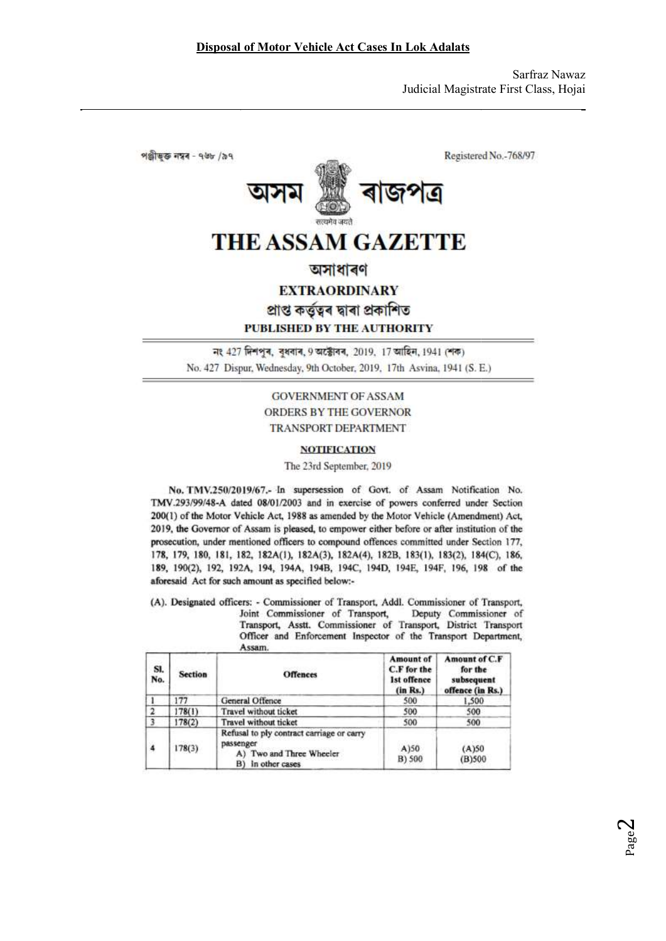পঞ্জীভক্ত নম্বৰ - ৭৬৮ /৯৭

Registered No.-768/97



# **THE ASSAM GAZETTE**

## অসাধাৰণ

## **EXTRAORDINARY**

প্ৰাপ্ত কৰ্ত্তত্বৰ দ্বাৰা প্ৰকাশিত

PUBLISHED BY THE AUTHORITY

নং 427 দিশপৰ, বধবাৰ, 9 অক্টোবৰ, 2019, 17 আহিন, 1941 শেক) No. 427 Dispur, Wednesday, 9th October, 2019, 17th Asvina, 1941 (S. E.)

## **GOVERNMENT OF ASSAM** ORDERS BY THE GOVERNOR **TRANSPORT DEPARTMENT**

### **NOTIFICATION**

The 23rd September, 2019

No. TMV.250/2019/67.- In supersession of Govt. of Assam Notification No. TMV.293/99/48-A dated 08/01/2003 and in exercise of powers conferred under Section 200(1) of the Motor Vehicle Act, 1988 as amended by the Motor Vehicle (Amendment) Act, 2019, the Governor of Assam is pleased, to empower either before or after institution of the prosecution, under mentioned officers to compound offences committed under Section 177, 178, 179, 180, 181, 182, 182A(1), 182A(3), 182A(4), 182B, 183(1), 183(2), 184(C), 186, 189, 190(2), 192, 192A, 194, 194A, 194B, 194C, 194D, 194E, 194F, 196, 198 of the aforesaid Act for such amount as specified below:-

(A). Designated officers: - Commissioner of Transport, Addl. Commissioner of Transport, Joint Commissioner of Transport, Deputy Commissioner of Transport, Asstt. Commissioner of Transport, District Transport Officer and Enforcement Inspector of the Transport Department, Assam

| SI.<br>No.     | <b>Section</b> | <b>Offences</b>                                                                                         | Amount of<br>C.F for the<br><b>Ist offence</b><br>(in Rs.) | Amount of C.F<br>for the<br>subsequent<br>offence (in Rs.) |
|----------------|----------------|---------------------------------------------------------------------------------------------------------|------------------------------------------------------------|------------------------------------------------------------|
|                | 177            | General Offence                                                                                         | 500                                                        | 1,500                                                      |
|                | 178(1)         | Travel without ticket                                                                                   | 500                                                        | 500                                                        |
|                | 178(2)         | <b>Travel without ticket</b>                                                                            | 500                                                        | 500                                                        |
| $\overline{4}$ | 178(3)         | Refusal to ply contract carriage or carry<br>passenger<br>A) Two and Three Wheeler<br>B) in other cases | A)50<br>B) 500                                             | (A)50<br>(B)500                                            |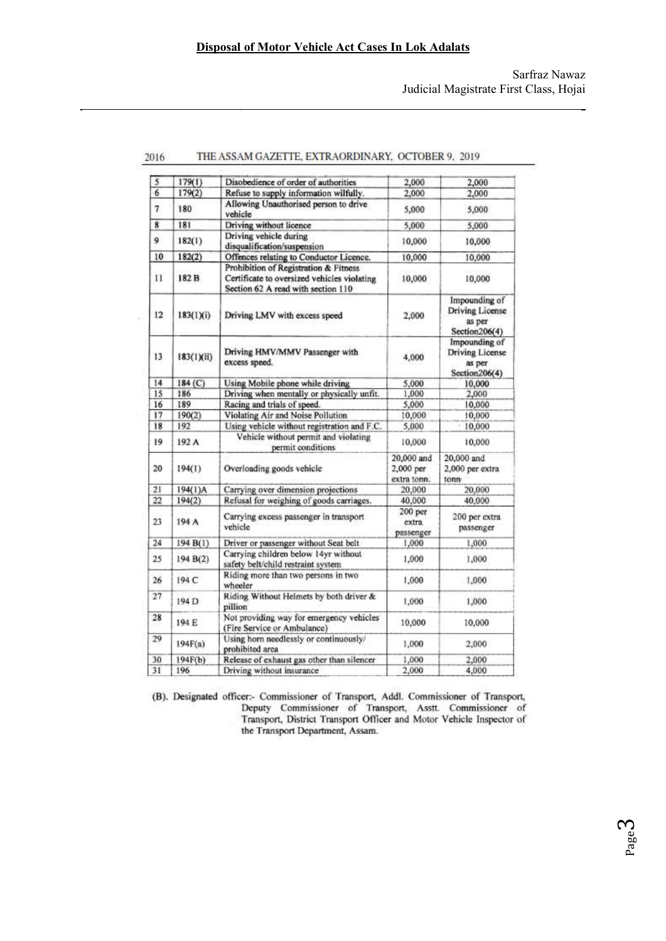$\overline{\phantom{a}}$ 

| 5              | 179(1)     | Disobedience of order of authorities                                                                                       | 2,000                                  | 2,000                                                          |
|----------------|------------|----------------------------------------------------------------------------------------------------------------------------|----------------------------------------|----------------------------------------------------------------|
| 6              | 179(2)     | Refuse to supply information wilfully.                                                                                     | 2,000                                  | 2,000                                                          |
| $\overline{7}$ | 180        | Allowing Unauthorised person to drive<br>vehicle                                                                           | 5,000                                  | 5,000                                                          |
| 8              | 181        | Driving without licence                                                                                                    | 5,000                                  | 5,000                                                          |
| 9              | 182(1)     | Driving vehicle during<br>disqualification/suspension                                                                      | 10,000                                 | 10,000                                                         |
| 10             | 182(2)     | Offences relating to Conductor Licence.                                                                                    | 10,000                                 | 10,000                                                         |
| $\mathbf{11}$  | 182 B      | Prohibition of Registration & Fitness<br>Certificate to oversized vehicles violating<br>Section 62 A read with section 110 | 10,000                                 | 10,000                                                         |
| 12             | 183(1)(i)  | Driving LMV with excess speed                                                                                              | 2,000                                  | Impounding of<br>Driving License<br>as per<br>Section $206(4)$ |
| 13             | 183(1)(ii) | Driving HMV/MMV Passenger with<br>excess speed.                                                                            | 4,000                                  | Impounding of<br>Driving License<br>as per<br>Section206(4)    |
| 14             | 184(C)     | Using Mobile phone while driving                                                                                           | 5,000                                  | 10,000                                                         |
| 15             | 186        | Driving when mentally or physically unfit.                                                                                 | 1,000                                  | 2,000                                                          |
| 16             | 189        | Racing and trials of speed.                                                                                                | 5,000                                  | 10,000                                                         |
| 17             | 190(2)     | Violating Air and Noise Pollution                                                                                          | 10,000                                 | 10,000                                                         |
| 18             | 192        | Using vehicle without registration and F.C.                                                                                | 5,000                                  | 10,000                                                         |
| 19             | 192 A      | Vehicle without permit and violating<br>permit conditions                                                                  | 10,000                                 | 10,000                                                         |
| 20             | 194(1)     | Overloading goods vehicle                                                                                                  | 20,000 and<br>2,000 per<br>extra tonn. | 20,000 and<br>2,000 per extra<br>tonn                          |
| 21             | 194(1)A    | Carrying over dimension projections                                                                                        | 20,000                                 | 20,000                                                         |
| 22             | 194(2)     | Refusal for weighing of goods carriages.                                                                                   | 40,000                                 | 40,000                                                         |
| 23             | 194 A      | Carrying excess passenger in transport<br>vehicle                                                                          | 200 per<br>extra.<br>passenger         | 200 per extra<br>passenger                                     |
| 24             | 194 B(1)   | Driver or passenger without Seat belt                                                                                      | 1,000                                  | 1,000                                                          |
| 25             | 194B(2)    | Carrying children below 14yr without<br>safety belt/child restraint system                                                 | 1,000                                  | 1,000                                                          |
| 26             | 194 C      | Riding more than two persons in two<br>wheeler                                                                             | 1,000                                  | 1,000                                                          |
| 27             | 194 D      | Riding Without Helmets by both driver &<br>pillion                                                                         | 1,000                                  | 1,000                                                          |
| 28             | 194 E      | Not providing way for emergency vehicles<br>(Fire Service or Ambulance)                                                    | 10,000                                 | 10,000                                                         |
| 29             | 194F(a)    | Using horn needlessly or continuously/<br>prohibited area                                                                  | 1,000                                  | 2,000                                                          |
| 30             | 194F(b)    | Release of exhaust gas other than silencer                                                                                 | 1,000                                  | 2,000                                                          |
| 31             | 196        | Driving without insurance                                                                                                  | 2,000                                  | 4,000                                                          |

(B). Designated officer:- Commissioner of Transport, Addl. Commissioner of Transport, Deputy Commissioner of Transport, Asstt. Commissioner of Transport, District Transport Officer and Motor Vehicle Inspector of the Transport Department, Assam.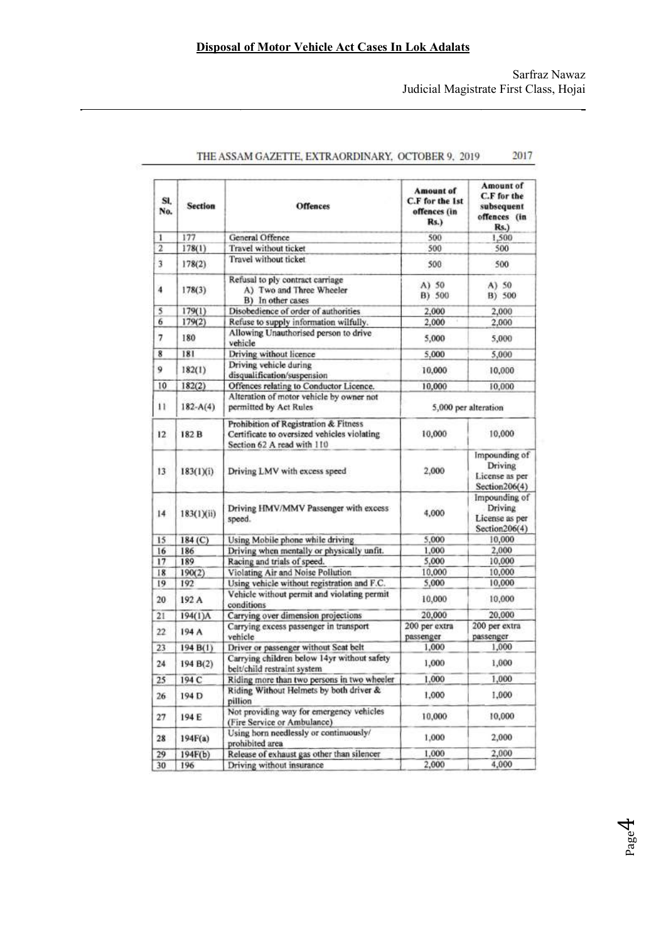| SI.<br>No.              | <b>Section</b> | Offences                                                                                                           | Amount of<br>C.F for the 1st<br>offences (in<br>Rs. | Amount of<br>C.F for the<br>subsequent<br>offences (in<br><b>Rs.)</b> |
|-------------------------|----------------|--------------------------------------------------------------------------------------------------------------------|-----------------------------------------------------|-----------------------------------------------------------------------|
| 1                       | 177            | General Offence                                                                                                    | 500                                                 | 1,500                                                                 |
| $\overline{\mathbf{2}}$ | 178(1)         | Travel without ticket                                                                                              | 500                                                 | 500                                                                   |
| 3                       | 178(2)         | Travel without ticket                                                                                              | 500                                                 | 500                                                                   |
| 4                       | 178(3)         | Refusal to ply contract carriage<br>A) Two and Three Wheeler<br>B) In other cases                                  | A) 50<br>B) 500                                     | A) 50<br>B) 500                                                       |
| 5                       | 179(1)         | Disobedience of order of authorities                                                                               | 2,000                                               | 2,000                                                                 |
| 6                       | 179(2)         | Refuse to supply information wilfully.                                                                             | 2.000                                               | 2,000                                                                 |
| 7                       | 180            | Allowing Unauthorised person to drive<br>vehicle                                                                   | 5,000                                               | 5,000                                                                 |
| 8                       | 181            | Driving without licence                                                                                            | 5,000                                               | 5,000                                                                 |
| 9                       | 182(1)         | Driving vehicle during                                                                                             | 10,000                                              | 10,000                                                                |
| 10                      | 182(2)         | disqualification/suspension<br>Offences relating to Conductor Licence.                                             |                                                     |                                                                       |
|                         |                | Alteration of motor vehicle by owner not                                                                           | 10,000                                              | 10,000                                                                |
| 11                      | $182 - A(4)$   | permitted by Act Rules                                                                                             | 5,000 per alteration                                |                                                                       |
| 12                      | 182B           | Prohibition of Registration & Fitness<br>Certificate to oversized vehicles violating<br>Section 62 A read with 110 | 10,000                                              | 10,000                                                                |
| 13                      | 183(1)(i)      | Driving LMV with excess speed                                                                                      | 2,000                                               | Impounding of<br>Driving<br>License as per<br>Section206(4)           |
| 14                      | 183(1)(ii)     | Driving HMV/MMV Passenger with excess<br>speed.                                                                    | 4,000                                               | Impounding of<br>Driving<br>License as per<br>Section206(4)           |
| 15                      | 184 (C)        | Using Mobile phone while driving                                                                                   | 5,000                                               | 10,000                                                                |
| 16                      | 186            | Driving when mentally or physically unfit.                                                                         | 1,000                                               | 2,000                                                                 |
| 17                      | 189            | Racing and trials of speed.                                                                                        | 5,000                                               | 10,000                                                                |
| 18                      | 190(2)         | Violating Air and Noise Pollution                                                                                  | 10,000                                              | 10,000                                                                |
| 19                      | 192            | Using vehicle without registration and F.C.                                                                        | 5,000                                               | 10,000                                                                |
| 20                      | 192 A          | Vehicle without permit and violating permit<br>conditions                                                          | 10,000                                              | 10,000                                                                |
| 21                      | $194(1)$ A     | Carrying over dimension projections                                                                                | 20,000                                              | 20,000                                                                |
| 22                      | 194 A          | Carrying excess passenger in transport<br>vehicle                                                                  | 200 per extra<br>passenger                          | 200 per extra<br>passenger                                            |
| 23                      | 194 B(1)       | Driver or passenger without Seat belt                                                                              | 1,000                                               | 1,000                                                                 |
| 24                      | 194 B(2)       | Carrying children below 14yr without safety<br>belt/child restraint system                                         | 1,000                                               | 1,000                                                                 |
| 25                      | 194 C          | Riding more than two persons in two wheeler                                                                        | 1,000                                               | 1,000                                                                 |
| 26                      | 194 D          | Riding Without Helmets by both driver &<br>pillion                                                                 | 1,000                                               | 1,000                                                                 |
| 27                      | 194 E          | Not providing way for emergency vehicles<br>(Fire Service or Ambulance)                                            | 10,000                                              | 10,000                                                                |
| 28                      | 194F(a)        | Using horn needlessly or continuously/<br>prohibited area                                                          | 1,000                                               | 2,000                                                                 |
| 29                      | 194F(b)        | Release of exhaust gas other than silencer                                                                         | 1.000                                               | 2,000                                                                 |
| 30                      | 196            | Driving without insurance                                                                                          | 2,000                                               | 4,000                                                                 |
|                         |                |                                                                                                                    |                                                     |                                                                       |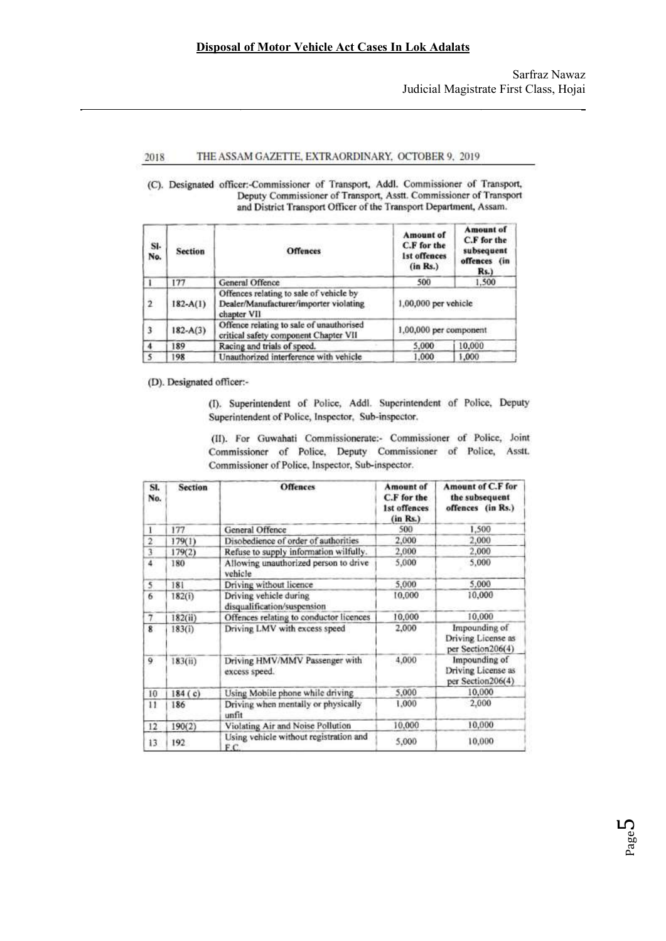(C). Designated officer:-Commissioner of Transport, Addl. Commissioner of Transport, Deputy Commissioner of Transport, Asstt. Commissioner of Transport and District Transport Officer of the Transport Department, Assam.

| <b>Administration</b><br>SI-<br>No. | <b>Section</b> | <b>Offences</b>                                                                                  | Amount of<br>C.F for the<br>1st offences<br>(in Rs.) | Amount of<br>C.F for the<br>subsequent<br>offences (in<br>Rs. |
|-------------------------------------|----------------|--------------------------------------------------------------------------------------------------|------------------------------------------------------|---------------------------------------------------------------|
|                                     | 177            | General Offence                                                                                  | 500                                                  | 1,500                                                         |
| $\overline{2}$                      | $182 - A(1)$   | Offences relating to sale of vehicle by<br>Dealer/Manufacturer/importer violating<br>chapter VII | 1,00,000 per vehicle                                 |                                                               |
| 3                                   | $182 - A(3)$   | Offence relating to sale of unauthorised<br>critical safety component Chapter VII                | 1,00,000 per component                               |                                                               |
|                                     | 189            | Racing and trials of speed.                                                                      | 5,000                                                | 10,000                                                        |
| 5                                   | 198            | Unauthorized interference with vehicle                                                           | 1.000                                                | 1,000                                                         |

(D). Designated officer:-

(I). Superintendent of Police, Addl. Superintendent of Police, Deputy Superintendent of Police, Inspector, Sub-inspector.

(II). For Guwahati Commissionerate:- Commissioner of Police, Joint Commissioner of Police, Deputy Commissioner of Police, Asstt. Commissioner of Police, Inspector, Sub-inspector.

| SI.<br>No.     | <b>Section</b> | <b>Offences</b>                                       | Amount of<br>C.F for the<br>1st offences<br>(in Rs.) | <b>Amount of C.F for</b><br>the subsequent<br>offences (in Rs.) |
|----------------|----------------|-------------------------------------------------------|------------------------------------------------------|-----------------------------------------------------------------|
| 1              | 177            | General Offence                                       | 500                                                  | 1,500                                                           |
| $\overline{2}$ | 179(1)         | Disobedience of order of authorities                  | 2,000                                                | 2,000                                                           |
| 3              | 179(2)         | Refuse to supply information wilfully.                | 2,000                                                | 2,000                                                           |
| 4              | 180            | Allowing unauthorized person to drive<br>vehicle      | 5,000                                                | 5,000                                                           |
| 5              | 181            | Driving without licence                               | 5,000                                                | 5.000                                                           |
| 6              | 182(i)         | Driving vehicle during<br>disqualification/suspension | 10,000                                               | 10,000                                                          |
| $\overline{7}$ | 182(ii)        | Offences relating to conductor licences               | 10,000                                               | 10,000                                                          |
| $\mathbf{R}$   | 183(i)         | Driving LMV with excess speed                         | 2,000                                                | Impounding of<br>Driving License as<br>per Section206(4)        |
| 9              | 183(ii)        | Driving HMV/MMV Passenger with<br>excess speed.       | 4.000                                                | Impounding of<br>Driving License as<br>per Section206(4)        |
| 10             | 184(c)         | Using Mobile phone while driving                      | 5,000                                                | 10,000                                                          |
| $\mathbf{11}$  | 186            | Driving when mentally or physically<br>unfit          | 1,000                                                | 2,000                                                           |
| 12             | 190(2)         | Violating Air and Noise Pollution                     | 10,000                                               | 10,000                                                          |
| 13             | 192            | Using vehicle without registration and<br>F.C.        | 5,000                                                | 10,000                                                          |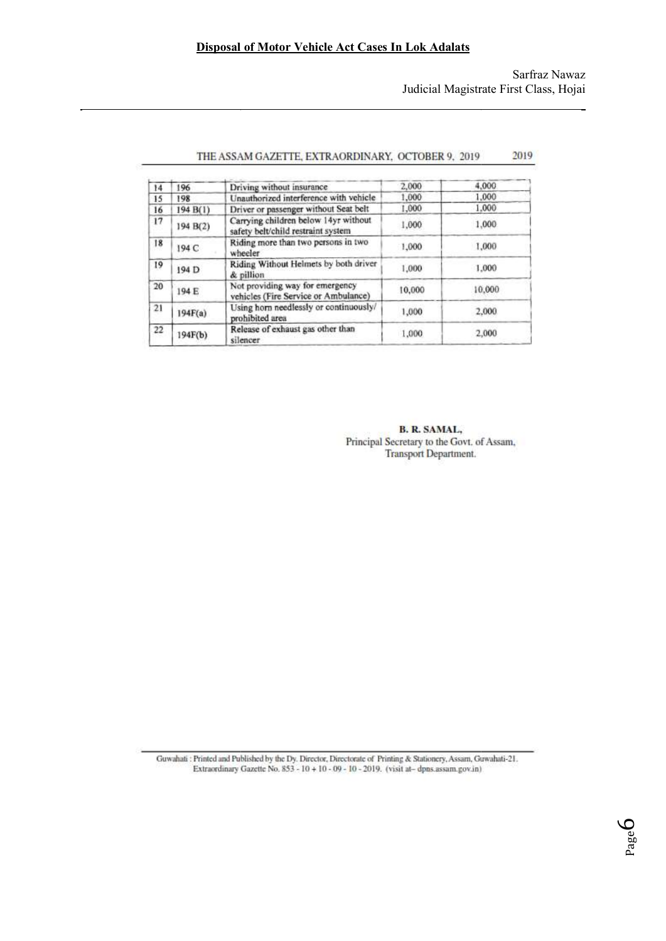| 14 | 196              | Driving without insurance                                                  | 2.000  | 4,000  |
|----|------------------|----------------------------------------------------------------------------|--------|--------|
| 15 | 198              | Unauthorized interference with vehicle                                     | 1,000  | 1,000  |
| 16 | 194 B(1)         | Driver or passenger without Seat belt                                      | 1,000  | 1.000  |
| 17 | 194 B(2)         | Carrying children below 14yr without<br>safety belt/child restraint system | 1,000  | 1.000  |
| 18 | 194 C            | Riding more than two persons in two<br>wheeler                             | 1.000  | 1,000  |
| 19 | 194 <sub>D</sub> | Riding Without Helmets by both driver<br>& pillion                         | 1,000  | 1,000  |
| 20 | 194 E            | Not providing way for emergency<br>vehicles (Fire Service or Ambulance)    | 10,000 | 10,000 |
| 21 | 194F(a)          | Using horn needlessly or continuously/<br>prohibited area                  | 1,000  | 2,000  |
| 22 | 194F(b)          | Release of exhaust gas other than<br>silencer                              | 1,000  | 2,000  |

> B. R. SAMAL, Principal Secretary to the Govt. of Assam, Transport Department.

Guwahati : Printed and Published by the Dy. Director, Directorate of Printing & Stationery, Assam, Guwahati-21. Extraordinary Gazette No. 853 - 10 + 10 - 09 - 10 - 2019. (visit at-dpns.assam.gov.in)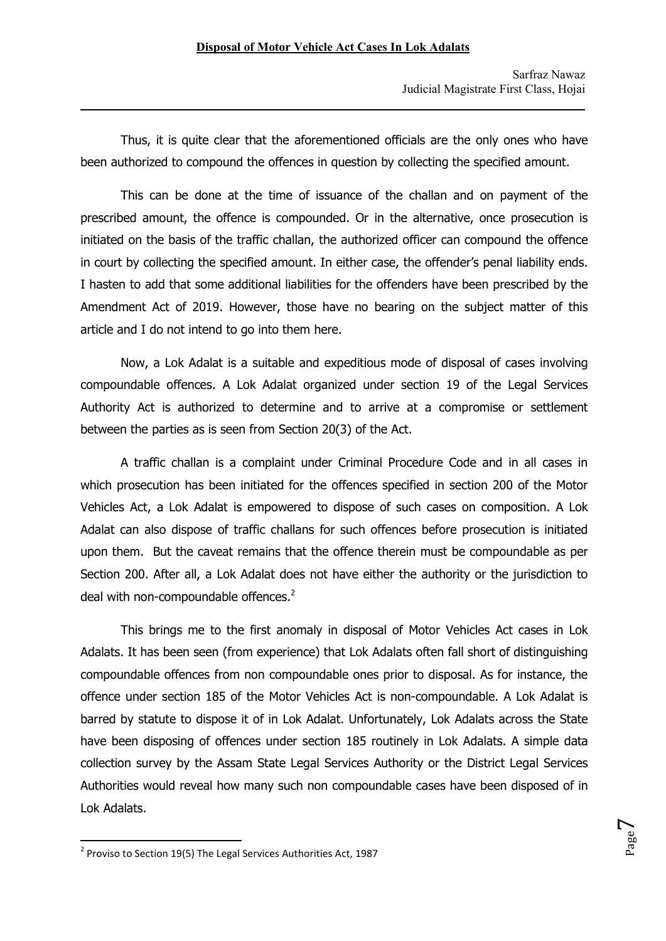$\overline{a}$ 

-

Thus, it is quite clear that the aforementioned officials are the only ones who have been authorized to compound the offences in question by collecting the specified amount.

This can be done at the time of issuance of the challan and on payment of the prescribed amount, the offence is compounded. Or in the alternative, once prosecution is initiated on the basis of the traffic challan, the authorized officer can compound the offence in court by collecting the specified amount. In either case, the offender's penal liability ends. I hasten to add that some additional liabilities for the offenders have been prescribed by the Amendment Act of 2019. However, those have no bearing on the subject matter of this article and I do not intend to go into them here.

Now, a Lok Adalat is a suitable and expeditious mode of disposal of cases involving compoundable offences. A Lok Adalat organized under section 19 of the Legal Services Authority Act is authorized to determine and to arrive at a compromise or settlement between the parties as is seen from Section 20(3) of the Act.

A traffic challan is a complaint under Criminal Procedure Code and in all cases in which prosecution has been initiated for the offences specified in section 200 of the Motor Vehicles Act, a Lok Adalat is empowered to dispose of such cases on composition. A Lok Adalat can also dispose of traffic challans for such offences before prosecution is initiated upon them. But the caveat remains that the offence therein must be compoundable as per Section 200. After all, a Lok Adalat does not have either the authority or the jurisdiction to deal with non-compoundable offences. $2$ 

This brings me to the first anomaly in disposal of Motor Vehicles Act cases in Lok Adalats. It has been seen (from experience) that Lok Adalats often fall short of distinguishing compoundable offences from non compoundable ones prior to disposal. As for instance, the offence under section 185 of the Motor Vehicles Act is non-compoundable. A Lok Adalat is barred by statute to dispose it of in Lok Adalat. Unfortunately, Lok Adalats across the State have been disposing of offences under section 185 routinely in Lok Adalats. A simple data collection survey by the Assam State Legal Services Authority or the District Legal Services Authorities would reveal how many such non compoundable cases have been disposed of in Lok Adalats.

 $2$  Proviso to Section 19(5) The Legal Services Authorities Act, 1987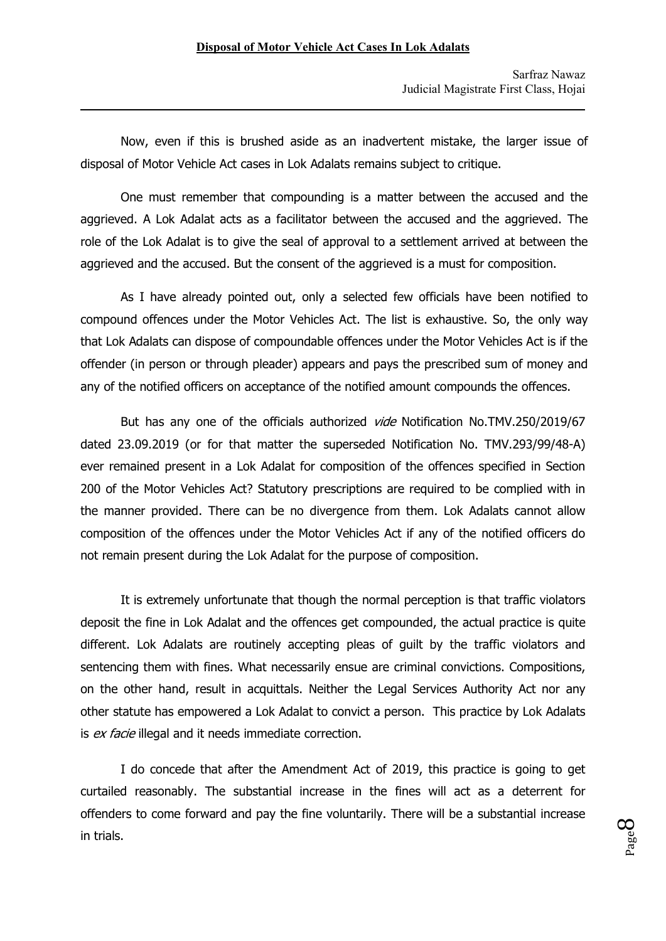$\overline{a}$ 

Now, even if this is brushed aside as an inadvertent mistake, the larger issue of disposal of Motor Vehicle Act cases in Lok Adalats remains subject to critique.

One must remember that compounding is a matter between the accused and the aggrieved. A Lok Adalat acts as a facilitator between the accused and the aggrieved. The role of the Lok Adalat is to give the seal of approval to a settlement arrived at between the aggrieved and the accused. But the consent of the aggrieved is a must for composition.

As I have already pointed out, only a selected few officials have been notified to compound offences under the Motor Vehicles Act. The list is exhaustive. So, the only way that Lok Adalats can dispose of compoundable offences under the Motor Vehicles Act is if the offender (in person or through pleader) appears and pays the prescribed sum of money and any of the notified officers on acceptance of the notified amount compounds the offences.

But has any one of the officials authorized *vide* Notification No.TMV.250/2019/67 dated 23.09.2019 (or for that matter the superseded Notification No. TMV.293/99/48-A) ever remained present in a Lok Adalat for composition of the offences specified in Section 200 of the Motor Vehicles Act? Statutory prescriptions are required to be complied with in the manner provided. There can be no divergence from them. Lok Adalats cannot allow composition of the offences under the Motor Vehicles Act if any of the notified officers do not remain present during the Lok Adalat for the purpose of composition.

It is extremely unfortunate that though the normal perception is that traffic violators deposit the fine in Lok Adalat and the offences get compounded, the actual practice is quite different. Lok Adalats are routinely accepting pleas of guilt by the traffic violators and sentencing them with fines. What necessarily ensue are criminal convictions. Compositions, on the other hand, result in acquittals. Neither the Legal Services Authority Act nor any other statute has empowered a Lok Adalat to convict a person. This practice by Lok Adalats is *ex facie* illegal and it needs immediate correction.

I do concede that after the Amendment Act of 2019, this practice is going to get curtailed reasonably. The substantial increase in the fines will act as a deterrent for offenders to come forward and pay the fine voluntarily. There will be a substantial increase in trials.

Page  $\infty$